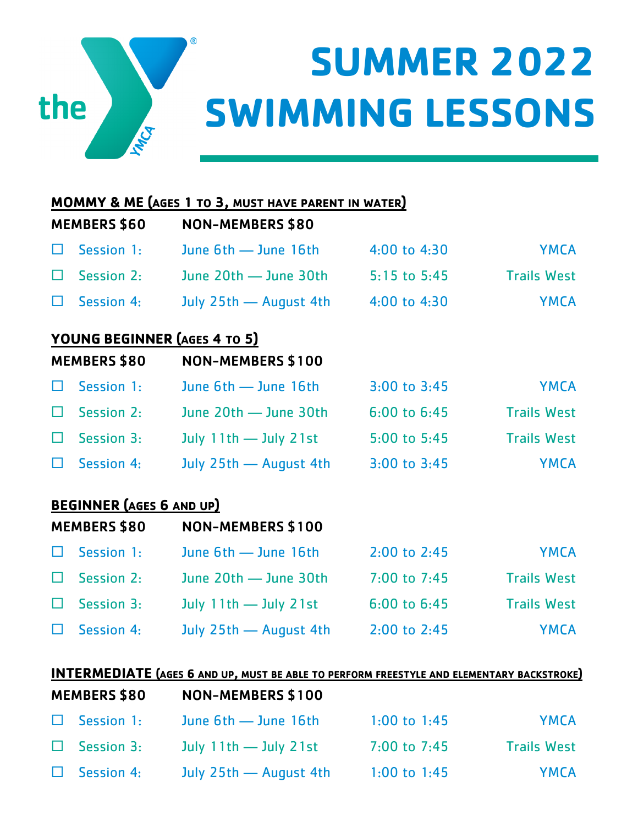

## **SUMMER 2022 SWIMMING LESSONS**

## **MOMMY & ME (AGES 1 TO 3, MUST HAVE PARENT IN WATER)** MEMBERS \$60 NON-MEMBERS \$80  $\Box$  Session 1: June 6th — June 16th  $4:00$  to  $4:30$  YMCA  $\Box$  Session 2: June 20th — June 30th  $5:15$  to 5:45 Trails West □ Session 4: July 25th — August 4th 4:00 to 4:30 YMCA **YOUNG BEGINNER (AGES 4 TO 5)** MEMBERS \$80 NON-MEMBERS \$100  $\Box$  Session 1: June 6th — June 16th  $\Box$  3:00 to 3:45 YMCA  $\Box$  Session 2: June 20th — June 30th  $6:00$  to  $6:45$  Trails West  $\Box$  Session 3: July 11th — July 21st 5:00 to 5:45 Trails West  $\Box$  Session 4: July 25th — August 4th 3:00 to 3:45 YMCA **BEGINNER (AGES 6 AND UP)** MEMBERS \$80 NON-MEMBERS \$100  $\Box$  Session 1: June 6th — June 16th  $2:00$  to 2:45 YMCA  $\Box$  Session 2: June 20th — June 30th  $\Box$  7:00 to 7:45 Trails West  $\Box$  Session 3: July 11th — July 21st 6:00 to 6:45 Trails West □ Session 4: July 25th — August 4th 2:00 to 2:45 YMCA

## **INTERMEDIATE (AGES 6 AND UP, MUST BE ABLE TO PERFORM FREESTYLE AND ELEMENTARY BACKSTROKE)**

|                    | <b>NON-MEMBERS \$100</b> |                           |                   | <b>MEMBERS \$80</b> |  |
|--------------------|--------------------------|---------------------------|-------------------|---------------------|--|
| <b>YMCA</b>        | 1:00 to $1:45$           | June 6th - June 16th      | $\Box$ Session 1: |                     |  |
| <b>Trails West</b> | 7:00 to $7:45$           | July $11th$ - July $21st$ | $\Box$ Session 3: |                     |  |
| YMCA               | 1:00 to $1:45$           | July 25th - August 4th    | $\Box$ Session 4: |                     |  |